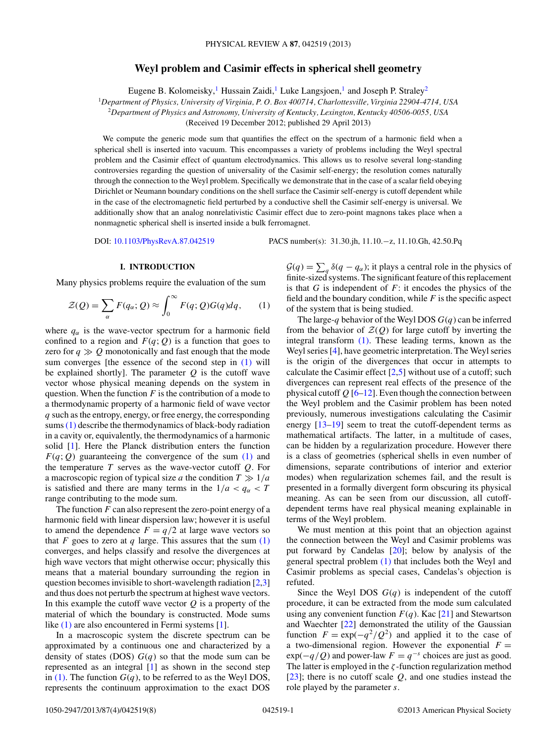# **Weyl problem and Casimir effects in spherical shell geometry**

Eugene B. Kolomeisky,<sup>1</sup> Hussain Zaidi,<sup>1</sup> Luke Langsjoen,<sup>1</sup> and Joseph P. Straley<sup>2</sup>

<span id="page-0-0"></span><sup>1</sup>*Department of Physics, University of Virginia, P. O. Box 400714, Charlottesville, Virginia 22904-4714, USA*

<sup>2</sup>*Department of Physics and Astronomy, University of Kentucky, Lexington, Kentucky 40506-0055, USA*

(Received 19 December 2012; published 29 April 2013)

We compute the generic mode sum that quantifies the effect on the spectrum of a harmonic field when a spherical shell is inserted into vacuum. This encompasses a variety of problems including the Weyl spectral problem and the Casimir effect of quantum electrodynamics. This allows us to resolve several long-standing controversies regarding the question of universality of the Casimir self-energy; the resolution comes naturally through the connection to the Weyl problem. Specifically we demonstrate that in the case of a scalar field obeying Dirichlet or Neumann boundary conditions on the shell surface the Casimir self-energy is cutoff dependent while in the case of the electromagnetic field perturbed by a conductive shell the Casimir self-energy is universal. We additionally show that an analog nonrelativistic Casimir effect due to zero-point magnons takes place when a nonmagnetic spherical shell is inserted inside a bulk ferromagnet.

DOI: [10.1103/PhysRevA.87.042519](http://dx.doi.org/10.1103/PhysRevA.87.042519) PACS number(s): 31*.*30*.*jh, 11*.*10*.*−z, 11*.*10*.*Gh, 42*.*50*.*Pq

# **I. INTRODUCTION**

Many physics problems require the evaluation of the sum

$$
\mathcal{Z}(Q) = \sum_{\alpha} F(q_{\alpha}; Q) \approx \int_0^{\infty} F(q; Q) G(q) dq, \qquad (1)
$$

where  $q_{\alpha}$  is the wave-vector spectrum for a harmonic field confined to a region and  $F(q; Q)$  is a function that goes to zero for  $q \gg Q$  monotonically and fast enough that the mode sum converges [the essence of the second step in (1) will be explained shortly]. The parameter  $Q$  is the cutoff wave vector whose physical meaning depends on the system in question. When the function *F* is the contribution of a mode to a thermodynamic property of a harmonic field of wave vector *q* such as the entropy, energy, or free energy, the corresponding sums(1) describe the thermodynamics of black-body radiation in a cavity or, equivalently, the thermodynamics of a harmonic solid [\[1\]](#page-7-0). Here the Planck distribution enters the function  $F(q; Q)$  guaranteeing the convergence of the sum  $(1)$  and the temperature *T* serves as the wave-vector cutoff *Q*. For a macroscopic region of typical size *a* the condition  $T \gg 1/a$ is satisfied and there are many terms in the  $1/a < q_\alpha < T$ range contributing to the mode sum.

The function *F* can also represent the zero-point energy of a harmonic field with linear dispersion law; however it is useful to amend the dependence  $F = q/2$  at large wave vectors so that *F* goes to zero at *q* large. This assures that the sum  $(1)$ converges, and helps classify and resolve the divergences at high wave vectors that might otherwise occur; physically this means that a material boundary surrounding the region in question becomes invisible to short-wavelength radiation [\[2,3\]](#page-7-0) and thus does not perturb the spectrum at highest wave vectors. In this example the cutoff wave vector *Q* is a property of the material of which the boundary is constructed. Mode sums like (1) are also encountered in Fermi systems [\[1\]](#page-7-0).

In a macroscopic system the discrete spectrum can be approximated by a continuous one and characterized by a density of states (DOS)  $G(q)$  so that the mode sum can be represented as an integral [\[1\]](#page-7-0) as shown in the second step in (1). The function  $G(q)$ , to be referred to as the Weyl DOS, represents the continuum approximation to the exact DOS

 $G(q) = \sum_{q} \delta(q - q_{\alpha})$ ; it plays a central role in the physics of finite-sized systems. The significant feature of this replacement is that *G* is independent of *F*: it encodes the physics of the field and the boundary condition, while *F* is the specific aspect of the system that is being studied.

The large-*q* behavior of the Weyl DOS *G*(*q*) can be inferred from the behavior of  $Z(Q)$  for large cutoff by inverting the integral transform (1). These leading terms, known as the Weyl series [\[4\]](#page-7-0), have geometric interpretation. The Weyl series is the origin of the divergences that occur in attempts to calculate the Casimir effect  $[2,5]$  without use of a cutoff; such divergences can represent real effects of the presence of the physical cutoff  $Q$  [\[6–12\]](#page-7-0). Even though the connection between the Weyl problem and the Casimir problem has been noted previously, numerous investigations calculating the Casimir energy [\[13–19\]](#page-7-0) seem to treat the cutoff-dependent terms as mathematical artifacts. The latter, in a multitude of cases, can be hidden by a regularization procedure. However there is a class of geometries (spherical shells in even number of dimensions, separate contributions of interior and exterior modes) when regularization schemes fail, and the result is presented in a formally divergent form obscuring its physical meaning. As can be seen from our discussion, all cutoffdependent terms have real physical meaning explainable in terms of the Weyl problem.

We must mention at this point that an objection against the connection between the Weyl and Casimir problems was put forward by Candelas [\[20\]](#page-7-0); below by analysis of the general spectral problem (1) that includes both the Weyl and Casimir problems as special cases, Candelas's objection is refuted.

Since the Weyl DOS  $G(q)$  is independent of the cutoff procedure, it can be extracted from the mode sum calculated using any convenient function  $F(q)$ . Kac [\[21\]](#page-7-0) and Stewartson and Waechter [\[22\]](#page-7-0) demonstrated the utility of the Gaussian function  $F = \exp(-q^2/Q^2)$  and applied it to the case of a two-dimensional region. However the exponential  $F =$  $\exp(-q/Q)$  and power-law  $F = q^{-s}$  choices are just as good. The latter is employed in the *ζ* -function regularization method [\[23\]](#page-7-0); there is no cutoff scale *Q*, and one studies instead the role played by the parameter *s*.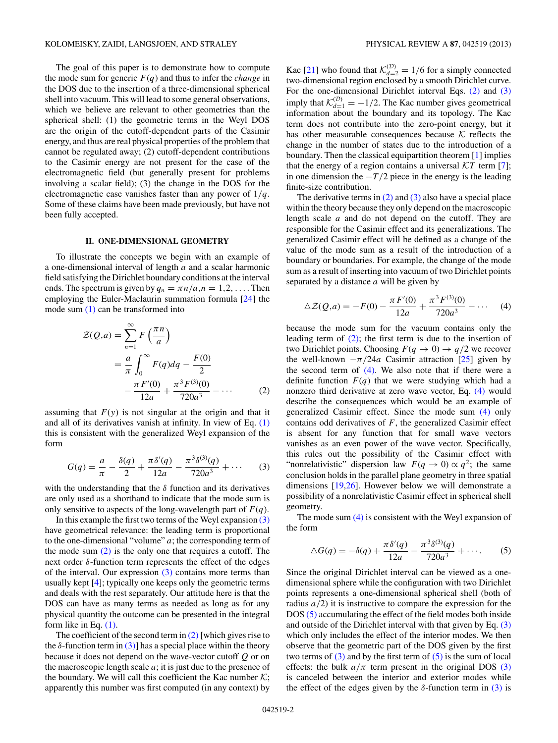<span id="page-1-0"></span>The goal of this paper is to demonstrate how to compute the mode sum for generic  $F(q)$  and thus to infer the *change* in the DOS due to the insertion of a three-dimensional spherical shell into vacuum. This will lead to some general observations, which we believe are relevant to other geometries than the spherical shell: (1) the geometric terms in the Weyl DOS are the origin of the cutoff-dependent parts of the Casimir energy, and thus are real physical properties of the problem that cannot be regulated away; (2) cutoff-dependent contributions to the Casimir energy are not present for the case of the electromagnetic field (but generally present for problems involving a scalar field); (3) the change in the DOS for the electromagnetic case vanishes faster than any power of 1*/q*. Some of these claims have been made previously, but have not been fully accepted.

# **II. ONE-DIMENSIONAL GEOMETRY**

To illustrate the concepts we begin with an example of a one-dimensional interval of length *a* and a scalar harmonic field satisfying the Dirichlet boundary conditions at the interval ends. The spectrum is given by  $q_n = \pi n/a$ ,  $n = 1, 2, \ldots$ . Then employing the Euler-Maclaurin summation formula [\[24\]](#page-7-0) the mode sum  $(1)$  can be transformed into

$$
Z(Q,a) = \sum_{n=1}^{\infty} F\left(\frac{\pi n}{a}\right)
$$
  
=  $\frac{a}{\pi} \int_0^{\infty} F(q) dq - \frac{F(0)}{2}$   
-  $\frac{\pi F'(0)}{12a} + \frac{\pi^3 F^{(3)}(0)}{720a^3} - \cdots$  (2)

assuming that  $F(y)$  is not singular at the origin and that it and all of its derivatives vanish at infinity. In view of Eq. [\(1\)](#page-0-0) this is consistent with the generalized Weyl expansion of the form

$$
G(q) = \frac{a}{\pi} - \frac{\delta(q)}{2} + \frac{\pi \delta'(q)}{12a} - \frac{\pi^3 \delta^{(3)}(q)}{720a^3} + \cdots
$$
 (3)

with the understanding that the  $\delta$  function and its derivatives are only used as a shorthand to indicate that the mode sum is only sensitive to aspects of the long-wavelength part of  $F(q)$ .

In this example the first two terms of the Weyl expansion  $(3)$ have geometrical relevance: the leading term is proportional to the one-dimensional "volume" *a*; the corresponding term of the mode sum  $(2)$  is the only one that requires a cutoff. The next order *δ*-function term represents the effect of the edges of the interval. Our expression (3) contains more terms than usually kept [\[4\]](#page-7-0); typically one keeps only the geometric terms and deals with the rest separately. Our attitude here is that the DOS can have as many terms as needed as long as for any physical quantity the outcome can be presented in the integral form like in Eq. [\(1\).](#page-0-0)

The coefficient of the second term in  $(2)$  [which gives rise to the  $\delta$ -function term in (3)] has a special place within the theory because it does not depend on the wave-vector cutoff *Q* or on the macroscopic length scale *a*; it is just due to the presence of the boundary. We will call this coefficient the Kac number  $K$ ; apparently this number was first computed (in any context) by

Kac [\[21\]](#page-7-0) who found that  $\mathcal{K}_{d=2}^{(\mathcal{D})} = 1/6$  for a simply connected two-dimensional region enclosed by a smooth Dirichlet curve. For the one-dimensional Dirichlet interval Eqs. (2) and (3) imply that  $\mathcal{K}_{d=1}^{(D)} = -1/2$ . The Kac number gives geometrical information about the boundary and its topology. The Kac term does not contribute into the zero-point energy, but it has other measurable consequences because  $K$  reflects the change in the number of states due to the introduction of a boundary. Then the classical equipartition theorem [\[1\]](#page-7-0) implies that the energy of a region contains a universal  $\mathcal{K}T$  term [\[7\]](#page-7-0); in one dimension the −*T /*2 piece in the energy is the leading finite-size contribution.

The derivative terms in  $(2)$  and  $(3)$  also have a special place within the theory because they only depend on the macroscopic length scale *a* and do not depend on the cutoff. They are responsible for the Casimir effect and its generalizations. The generalized Casimir effect will be defined as a change of the value of the mode sum as a result of the introduction of a boundary or boundaries. For example, the change of the mode sum as a result of inserting into vacuum of two Dirichlet points separated by a distance *a* will be given by

$$
\Delta \mathcal{Z}(Q,a) = -F(0) - \frac{\pi F'(0)}{12a} + \frac{\pi^3 F^{(3)}(0)}{720a^3} - \cdots \quad (4)
$$

because the mode sum for the vacuum contains only the leading term of  $(2)$ ; the first term is due to the insertion of two Dirichlet points. Choosing  $F(q \to 0) \to q/2$  we recover the well-known  $-\pi/24a$  Casimir attraction [\[25\]](#page-7-0) given by the second term of  $(4)$ . We also note that if there were a definite function  $F(q)$  that we were studying which had a nonzero third derivative at zero wave vector, Eq. (4) would describe the consequences which would be an example of generalized Casimir effect. Since the mode sum (4) only contains odd derivatives of *F*, the generalized Casimir effect is absent for any function that for small wave vectors vanishes as an even power of the wave vector. Specifically, this rules out the possibility of the Casimir effect with "nonrelativistic" dispersion law  $F(q \to 0) \propto q^2$ ; the same conclusion holds in the parallel plane geometry in three spatial dimensions [\[19,26\]](#page-7-0). However below we will demonstrate a possibility of a nonrelativistic Casimir effect in spherical shell geometry.

The mode sum  $(4)$  is consistent with the Weyl expansion of the form

$$
\Delta G(q) = -\delta(q) + \frac{\pi \delta'(q)}{12a} - \frac{\pi^3 \delta^{(3)}(q)}{720a^3} + \cdots. \tag{5}
$$

Since the original Dirichlet interval can be viewed as a onedimensional sphere while the configuration with two Dirichlet points represents a one-dimensional spherical shell (both of radius *a/*2) it is instructive to compare the expression for the DOS (5) accumulating the effect of the field modes both inside and outside of the Dirichlet interval with that given by Eq. (3) which only includes the effect of the interior modes. We then observe that the geometric part of the DOS given by the first two terms of  $(3)$  and by the first term of  $(5)$  is the sum of local effects: the bulk  $a/\pi$  term present in the original DOS (3) is canceled between the interior and exterior modes while the effect of the edges given by the  $\delta$ -function term in (3) is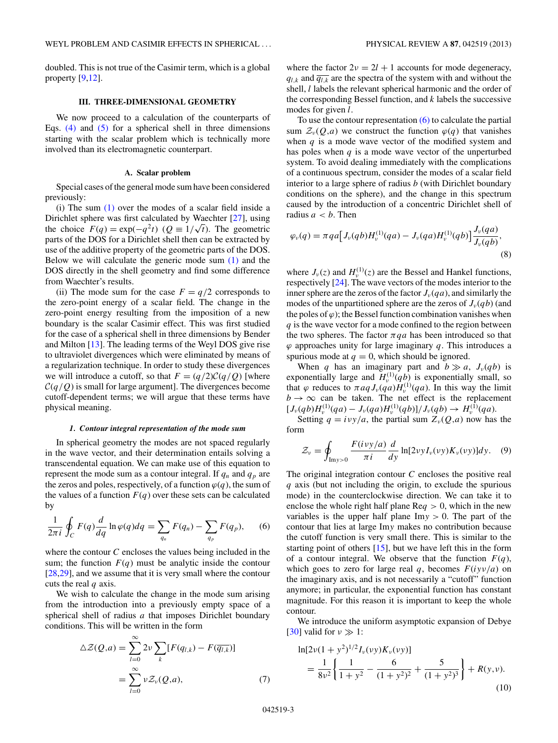<span id="page-2-0"></span>doubled. This is not true of the Casimir term, which is a global property [\[9,12\]](#page-7-0).

# **III. THREE-DIMENSIONAL GEOMETRY**

We now proceed to a calculation of the counterparts of Eqs.  $(4)$  and  $(5)$  for a spherical shell in three dimensions starting with the scalar problem which is technically more involved than its electromagnetic counterpart.

## **A. Scalar problem**

Special cases of the general mode sum have been considered previously:

(i) The sum [\(1\)](#page-0-0) over the modes of a scalar field inside a Dirichlet sphere was first calculated by Waechter [\[27\]](#page-7-0), using Dirichlet sphere was first calculated by watcher [27], using<br>the choice  $F(q) = \exp(-q^2 t)$  ( $Q \equiv 1/\sqrt{t}$ ). The geometric parts of the DOS for a Dirichlet shell then can be extracted by use of the additive property of the geometric parts of the DOS. Below we will calculate the generic mode sum [\(1\)](#page-0-0) and the DOS directly in the shell geometry and find some difference from Waechter's results.

(ii) The mode sum for the case  $F = q/2$  corresponds to the zero-point energy of a scalar field. The change in the zero-point energy resulting from the imposition of a new boundary is the scalar Casimir effect. This was first studied for the case of a spherical shell in three dimensions by Bender and Milton [\[13\]](#page-7-0). The leading terms of the Weyl DOS give rise to ultraviolet divergences which were eliminated by means of a regularization technique. In order to study these divergences we will introduce a cutoff, so that  $F = (q/2)\mathcal{C}(q/Q)$  [where  $C(q/Q)$  is small for large argument]. The divergences become cutoff-dependent terms; we will argue that these terms have physical meaning.

### *1. Contour integral representation of the mode sum*

In spherical geometry the modes are not spaced regularly in the wave vector, and their determination entails solving a transcendental equation. We can make use of this equation to represent the mode sum as a contour integral. If  $q_n$  and  $q_p$  are the zeros and poles, respectively, of a function  $\varphi(q)$ , the sum of the values of a function  $F(q)$  over these sets can be calculated by

$$
\frac{1}{2\pi i} \oint_C F(q) \frac{d}{dq} \ln \varphi(q) dq = \sum_{q_n} F(q_n) - \sum_{q_p} F(q_p), \quad (6)
$$

where the contour *C* encloses the values being included in the sum; the function  $F(q)$  must be analytic inside the contour [\[28,29\]](#page-7-0), and we assume that it is very small where the contour cuts the real *q* axis.

We wish to calculate the change in the mode sum arising from the introduction into a previously empty space of a spherical shell of radius *a* that imposes Dirichlet boundary conditions. This will be written in the form

$$
\Delta \mathcal{Z}(Q,a) = \sum_{l=0}^{\infty} 2\nu \sum_{k} [F(q_{l,k}) - F(\overline{q_{l,k}})]
$$

$$
= \sum_{l=0}^{\infty} \nu \mathcal{Z}_{\nu}(Q,a), \tag{7}
$$

where the factor  $2\nu = 2l + 1$  accounts for mode degeneracy,  $q_{l,k}$  and  $\overline{q_{l,k}}$  are the spectra of the system with and without the shell, *l* labels the relevant spherical harmonic and the order of the corresponding Bessel function, and *k* labels the successive modes for given *l*.

To use the contour representation  $(6)$  to calculate the partial sum  $\mathcal{Z}_{\nu}(Q,a)$  we construct the function  $\varphi(q)$  that vanishes when  $q$  is a mode wave vector of the modified system and has poles when *q* is a mode wave vector of the unperturbed system. To avoid dealing immediately with the complications of a continuous spectrum, consider the modes of a scalar field interior to a large sphere of radius *b* (with Dirichlet boundary conditions on the sphere), and the change in this spectrum caused by the introduction of a concentric Dirichlet shell of radius  $a < b$ . Then

$$
\varphi_{\nu}(q) = \pi qa \big[ J_{\nu}(qb) H_{\nu}^{(1)}(qa) - J_{\nu}(qa) H_{\nu}^{(1)}(qb) \big] \frac{J_{\nu}(qa)}{J_{\nu}(qb)},
$$
\n(8)

where  $J_\nu(z)$  and  $H_\nu^{(1)}(z)$  are the Bessel and Hankel functions, respectively [\[24\]](#page-7-0). The wave vectors of the modes interior to the inner sphere are the zeros of the factor  $J_\nu(qa)$ , and similarly the modes of the unpartitioned sphere are the zeros of  $J_\nu(qb)$  (and the poles of  $\varphi$ ); the Bessel function combination vanishes when *q* is the wave vector for a mode confined to the region between the two spheres. The factor  $\pi qa$  has been introduced so that *ϕ* approaches unity for large imaginary *q*. This introduces a spurious mode at  $q = 0$ , which should be ignored.

When *q* has an imaginary part and  $b \gg a$ ,  $J_\nu(qb)$  is exponentially large and  $H_{\nu}^{(1)}(q\bar{b})$  is exponentially small, so that  $\varphi$  reduces to  $\pi a q J_\nu(qa) H_\nu^{(1)}(q a)$ . In this way the limit  $b \rightarrow \infty$  can be taken. The net effect is the replacement  $[J_\nu(qb)H_\nu^{(1)}(qa) - J_\nu(qa)H_\nu^{(1)}(qb)]/J_\nu(qb) \rightarrow H_\nu^{(1)}(qa).$ 

Setting  $q = i\nu y/a$ , the partial sum  $Z_{\nu}(Q,a)$  now has the form

$$
\mathcal{Z}_{\nu} = \oint_{\text{Im}y>0} \frac{F(i\nu y/a)}{\pi i} \frac{d}{dy} \ln[2\nu y I_{\nu}(\nu y) K_{\nu}(\nu y)] dy. \quad (9)
$$

The original integration contour *C* encloses the positive real *q* axis (but not including the origin, to exclude the spurious mode) in the counterclockwise direction. We can take it to enclose the whole right half plane Re*q >* 0, which in the new variables is the upper half plane Im*y >* 0. The part of the contour that lies at large Im*y* makes no contribution because the cutoff function is very small there. This is similar to the starting point of others [\[15\]](#page-7-0), but we have left this in the form of a contour integral. We observe that the function  $F(q)$ , which goes to zero for large real *q*, becomes  $F(iyv/a)$  on the imaginary axis, and is not necessarily a "cutoff" function anymore; in particular, the exponential function has constant magnitude. For this reason it is important to keep the whole contour.

We introduce the uniform asymptotic expansion of Debye [\[30\]](#page-7-0) valid for *ν* > 1:

$$
\ln[2\nu(1+y^2)^{1/2}I_{\nu}(\nu y)K_{\nu}(\nu y)]
$$
  
=  $\frac{1}{8\nu^2} \left\{ \frac{1}{1+y^2} - \frac{6}{(1+y^2)^2} + \frac{5}{(1+y^2)^3} \right\} + R(y,\nu).$  (10)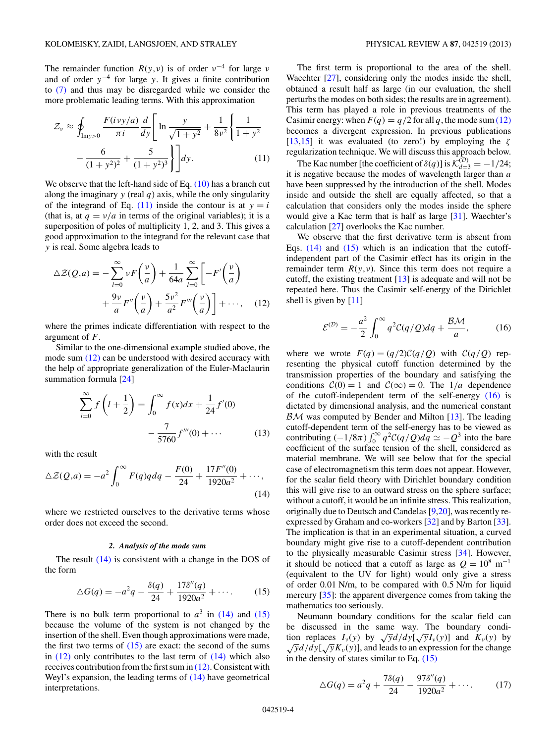<span id="page-3-0"></span>The remainder function  $R(y, y)$  is of order  $y^{-4}$  for large *v* and of order *y*<sup>−</sup><sup>4</sup> for large *y*. It gives a finite contribution to [\(7\)](#page-2-0) and thus may be disregarded while we consider the more problematic leading terms. With this approximation

$$
\mathcal{Z}_{\nu} \approx \oint_{\text{Im}y>0} \frac{F(ivy/a)}{\pi i} \frac{d}{dy} \left[ \ln \frac{y}{\sqrt{1+y^2}} + \frac{1}{8\nu^2} \left\{ \frac{1}{1+y^2} - \frac{6}{(1+y^2)^2} + \frac{5}{(1+y^2)^3} \right\} \right] dy. \tag{11}
$$

We observe that the left-hand side of Eq.  $(10)$  has a branch cut along the imaginary *y* (real *q*) axis, while the only singularity of the integrand of Eq. (11) inside the contour is at  $y = i$ (that is, at  $q = v/a$  in terms of the original variables); it is a superposition of poles of multiplicity 1, 2, and 3. This gives a good approximation to the integrand for the relevant case that *y* is real. Some algebra leads to

$$
\Delta \mathcal{Z}(Q, a) = -\sum_{l=0}^{\infty} \nu F\left(\frac{\nu}{a}\right) + \frac{1}{64a} \sum_{l=0}^{\infty} \left[-F'\left(\frac{\nu}{a}\right) + \frac{9\nu}{a}F''\left(\frac{\nu}{a}\right) + \frac{5\nu^2}{a^2}F''' \left(\frac{\nu}{a}\right)\right] + \cdots, \quad (12)
$$

where the primes indicate differentiation with respect to the argument of *F*.

Similar to the one-dimensional example studied above, the mode sum  $(12)$  can be understood with desired accuracy with the help of appropriate generalization of the Euler-Maclaurin summation formula [\[24\]](#page-7-0)

$$
\sum_{l=0}^{\infty} f\left(l + \frac{1}{2}\right) = \int_{0}^{\infty} f(x)dx + \frac{1}{24}f'(0) - \frac{7}{5760}f'''(0) + \cdots
$$
 (13)

with the result

$$
\Delta \mathcal{Z}(Q,a) = -a^2 \int_0^\infty F(q)q dq - \frac{F(0)}{24} + \frac{17F''(0)}{1920a^2} + \cdots,
$$
\n(14)

where we restricted ourselves to the derivative terms whose order does not exceed the second.

# *2. Analysis of the mode sum*

The result (14) is consistent with a change in the DOS of the form

$$
\Delta G(q) = -a^2 q - \frac{\delta(q)}{24} + \frac{17\delta''(q)}{1920a^2} + \cdots. \tag{15}
$$

There is no bulk term proportional to  $a^3$  in (14) and (15) because the volume of the system is not changed by the insertion of the shell. Even though approximations were made, the first two terms of  $(15)$  are exact: the second of the sums in  $(12)$  only contributes to the last term of  $(14)$  which also receives contribution from the first sum in (12). Consistent with Weyl's expansion, the leading terms of (14) have geometrical interpretations.

The first term is proportional to the area of the shell. Waechter [\[27\]](#page-7-0), considering only the modes inside the shell, obtained a result half as large (in our evaluation, the shell perturbs the modes on both sides; the results are in agreement). This term has played a role in previous treatments of the Casimir energy: when  $F(q) = q/2$  for all q, the mode sum (12) becomes a divergent expression. In previous publications [\[13,15\]](#page-7-0) it was evaluated (to zero!) by employing the  $\zeta$ regularization technique. We will discuss this approach below.

The Kac number [the coefficient of  $\delta(q)$ ] is  $\mathcal{K}_{d=3}^{(\mathcal{D})} = -1/24$ ; it is negative because the modes of wavelength larger than *a* have been suppressed by the introduction of the shell. Modes inside and outside the shell are equally affected, so that a calculation that considers only the modes inside the sphere would give a Kac term that is half as large [\[31\]](#page-7-0). Waechter's calculation [\[27\]](#page-7-0) overlooks the Kac number.

We observe that the first derivative term is absent from Eqs.  $(14)$  and  $(15)$  which is an indication that the cutoffindependent part of the Casimir effect has its origin in the remainder term  $R(y, y)$ . Since this term does not require a cutoff, the existing treatment [\[13\]](#page-7-0) is adequate and will not be repeated here. Thus the Casimir self-energy of the Dirichlet shell is given by [\[11\]](#page-7-0)

$$
\mathcal{E}^{(\mathcal{D})} = -\frac{a^2}{2} \int_0^\infty q^2 \mathcal{C}(q/\mathcal{Q}) dq + \frac{\mathcal{BM}}{a},\tag{16}
$$

where we wrote  $F(q) = (q/2)C(q/Q)$  with  $C(q/Q)$  representing the physical cutoff function determined by the transmission properties of the boundary and satisfying the conditions  $C(0) = 1$  and  $C(\infty) = 0$ . The  $1/a$  dependence of the cutoff-independent term of the self-energy (16) is dictated by dimensional analysis, and the numerical constant  $\beta$ M was computed by Bender and Milton [\[13\]](#page-7-0). The leading cutoff-dependent term of the self-energy has to be viewed as contributing  $(-1/8\pi) \int_0^\infty q^2 C(q/Q) dq \simeq -Q^3$  into the bare coefficient of the surface tension of the shell, considered as material membrane. We will see below that for the special case of electromagnetism this term does not appear. However, for the scalar field theory with Dirichlet boundary condition this will give rise to an outward stress on the sphere surface; without a cutoff, it would be an infinite stress. This realization, originally due to Deutsch and Candelas [\[9,20\]](#page-7-0), was recently reexpressed by Graham and co-workers [\[32\]](#page-7-0) and by Barton [\[33\]](#page-7-0). The implication is that in an experimental situation, a curved boundary might give rise to a cutoff-dependent contribution to the physically measurable Casimir stress [\[34\]](#page-7-0). However, it should be noticed that a cutoff as large as  $Q = 10^8$  m<sup>-1</sup> (equivalent to the UV for light) would only give a stress of order 0*.*01 N/m, to be compared with 0*.*5 N/m for liquid mercury [\[35\]](#page-7-0): the apparent divergence comes from taking the mathematics too seriously.

Neumann boundary conditions for the scalar field can be discussed in the same way. The boundary condition replaces  $I_v(y)$  by  $\sqrt{y}d/dy[\sqrt{y}I_v(y)]$  and  $K_v(y)$  by  $\sqrt{y}d/dy[\sqrt{y}K_{\nu}(y)]$ , and leads to an expression for the change in the density of states similar to Eq. (15)

$$
\Delta G(q) = a^2 q + \frac{7\delta(q)}{24} - \frac{97\delta''(q)}{1920a^2} + \cdots
$$
 (17)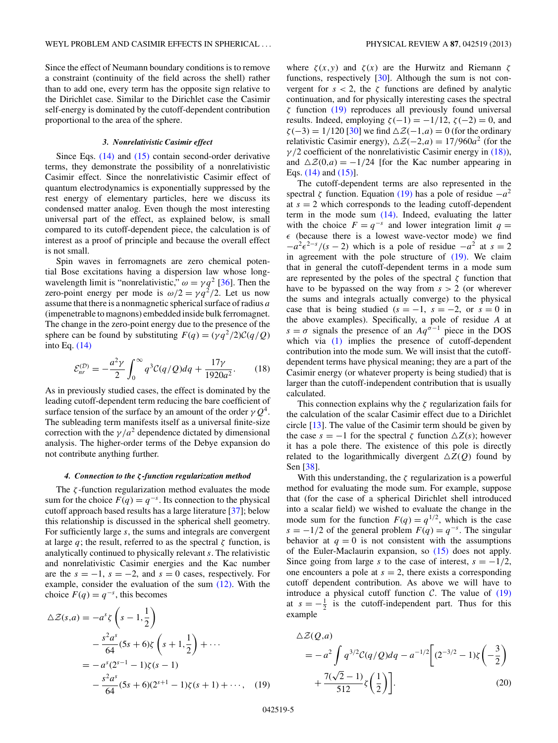<span id="page-4-0"></span>Since the effect of Neumann boundary conditions is to remove a constraint (continuity of the field across the shell) rather than to add one, every term has the opposite sign relative to the Dirichlet case. Similar to the Dirichlet case the Casimir self-energy is dominated by the cutoff-dependent contribution proportional to the area of the sphere.

#### *3. Nonrelativistic Casimir effect*

Since Eqs.  $(14)$  and  $(15)$  contain second-order derivative terms, they demonstrate the possibility of a nonrelativistic Casimir effect. Since the nonrelativistic Casimir effect of quantum electrodynamics is exponentially suppressed by the rest energy of elementary particles, here we discuss its condensed matter analog. Even though the most interesting universal part of the effect, as explained below, is small compared to its cutoff-dependent piece, the calculation is of interest as a proof of principle and because the overall effect is not small.

Spin waves in ferromagnets are zero chemical potential Bose excitations having a dispersion law whose longwavelength limit is "nonrelativistic,"  $\omega = \gamma q^2$  [\[36\]](#page-7-0). Then the zero-point energy per mode is  $\omega/2 = \gamma q^2/2$ . Let us now assume that there is a nonmagnetic spherical surface of radius *a* (impenetrable to magnons) embedded inside bulk ferromagnet. The change in the zero-point energy due to the presence of the sphere can be found by substituting  $F(q) = (\gamma q^2/2)C(q/Q)$ into Eq. [\(14\)](#page-3-0)

$$
\mathcal{E}_{nr}^{(D)} = -\frac{a^2 \gamma}{2} \int_0^\infty q^3 \mathcal{C}(q/Q) dq + \frac{17 \gamma}{1920 a^2}.
$$
 (18)

As in previously studied cases, the effect is dominated by the leading cutoff-dependent term reducing the bare coefficient of surface tension of the surface by an amount of the order  $\gamma Q^4$ . The subleading term manifests itself as a universal finite-size correction with the  $\gamma/a^2$  dependence dictated by dimensional analysis. The higher-order terms of the Debye expansion do not contribute anything further.

### *4. Connection to the ζ -function regularization method*

The *ζ* -function regularization method evaluates the mode sum for the choice  $F(q) = q^{-s}$ . Its connection to the physical cutoff approach based results has a large literature [\[37\]](#page-7-0); below this relationship is discussed in the spherical shell geometry. For sufficiently large *s*, the sums and integrals are convergent at large *q*; the result, referred to as the spectral  $\zeta$  function, is analytically continued to physically relevant *s*. The relativistic and nonrelativistic Casimir energies and the Kac number are the  $s = -1$ ,  $s = -2$ , and  $s = 0$  cases, respectively. For example, consider the evaluation of the sum [\(12\).](#page-3-0) With the choice  $F(q) = q^{-s}$ , this becomes

$$
\Delta \mathcal{Z}(s, a) = -a^s \zeta \left( s - 1, \frac{1}{2} \right)
$$
  

$$
- \frac{s^2 a^s}{64} (5s + 6) \zeta \left( s + 1, \frac{1}{2} \right) + \cdots
$$
  

$$
= -a^s (2^{s-1} - 1) \zeta (s - 1)
$$
  

$$
- \frac{s^2 a^s}{64} (5s + 6) (2^{s+1} - 1) \zeta (s + 1) + \cdots, \quad (19)
$$

where  $\zeta(x, y)$  and  $\zeta(x)$  are the Hurwitz and Riemann  $\zeta$ functions, respectively [\[30\]](#page-7-0). Although the sum is not convergent for  $s < 2$ , the  $\zeta$  functions are defined by analytic continuation, and for physically interesting cases the spectral *ζ* function (19) reproduces all previously found universal results. Indeed, employing  $\zeta(-1) = -1/12$ ,  $\zeta(-2) = 0$ , and  $\zeta(-3) = 1/120$  [\[30\]](#page-7-0) we find  $\Delta \mathcal{Z}(-1,a) = 0$  (for the ordinary relativistic Casimir energy),  $\Delta \mathcal{Z}(-2,a) = 17/960a^2$  (for the  $\gamma/2$  coefficient of the nonrelativistic Casimir energy in (18)), and  $\Delta \mathcal{Z}(0,a) = -1/24$  [for the Kac number appearing in Eqs. [\(14\)](#page-3-0) and [\(15\)\]](#page-3-0).

The cutoff-dependent terms are also represented in the spectral  $\zeta$  function. Equation (19) has a pole of residue  $-a^2$ at  $s = 2$  which corresponds to the leading cutoff-dependent term in the mode sum [\(14\).](#page-3-0) Indeed, evaluating the latter with the choice  $F = q^{-s}$  and lower integration limit  $q =$  $\epsilon$  (because there is a lowest wave-vector mode) we find  $-a^2\epsilon^{2-s}/(s-2)$  which is a pole of residue  $-a^2$  at  $s=2$ in agreement with the pole structure of (19). We claim that in general the cutoff-dependent terms in a mode sum are represented by the poles of the spectral  $\zeta$  function that have to be bypassed on the way from *s >* 2 (or wherever the sums and integrals actually converge) to the physical case that is being studied ( $s = -1$ ,  $s = -2$ , or  $s = 0$  in the above examples). Specifically, a pole of residue *A* at *s* = *σ* signals the presence of an  $Aq^{\sigma-1}$  piece in the DOS which via  $(1)$  implies the presence of cutoff-dependent contribution into the mode sum. We will insist that the cutoffdependent terms have physical meaning; they are a part of the Casimir energy (or whatever property is being studied) that is larger than the cutoff-independent contribution that is usually calculated.

This connection explains why the *ζ* regularization fails for the calculation of the scalar Casimir effect due to a Dirichlet circle [\[13\]](#page-7-0). The value of the Casimir term should be given by the case  $s = -1$  for the spectral  $\zeta$  function  $\Delta Z(s)$ ; however it has a pole there. The existence of this pole is directly related to the logarithmically divergent  $\triangle Z(Q)$  found by Sen [\[38\]](#page-7-0).

With this understanding, the *ζ* regularization is a powerful method for evaluating the mode sum. For example, suppose that (for the case of a spherical Dirichlet shell introduced into a scalar field) we wished to evaluate the change in the mode sum for the function  $F(q) = q^{1/2}$ , which is the case *s* = −1/2 of the general problem  $F(q) = q^{-s}$ . The singular behavior at  $q = 0$  is not consistent with the assumptions of the Euler-Maclaurin expansion, so [\(15\)](#page-3-0) does not apply. Since going from large *s* to the case of interest,  $s = -1/2$ , one encounters a pole at  $s = 2$ , there exists a corresponding cutoff dependent contribution. As above we will have to introduce a physical cutoff function  $C$ . The value of  $(19)$ at  $s = -\frac{1}{2}$  is the cutoff-independent part. Thus for this example

$$
\Delta \mathcal{Z}(Q,a) = -a^2 \int q^{3/2} C(q/Q) dq - a^{-1/2} \left[ (2^{-3/2} - 1) \zeta \left( -\frac{3}{2} \right) + \frac{7(\sqrt{2} - 1)}{512} \zeta \left( \frac{1}{2} \right) \right].
$$
 (20)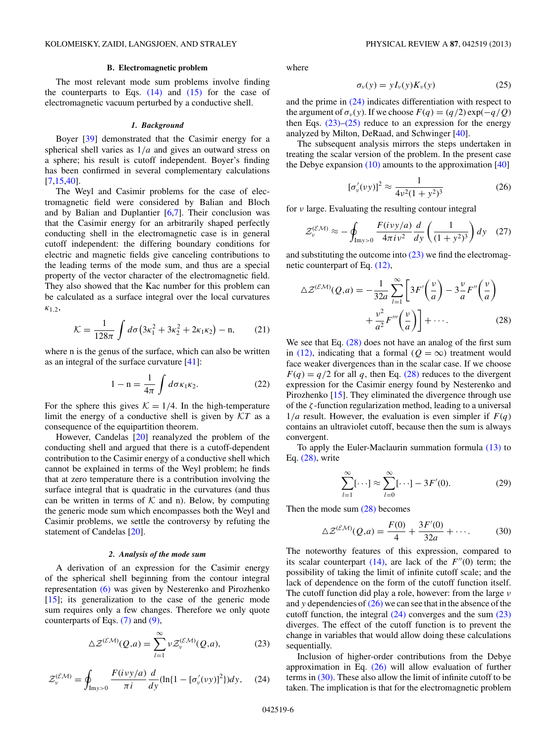### **B. Electromagnetic problem**

<span id="page-5-0"></span>The most relevant mode sum problems involve finding the counterparts to Eqs.  $(14)$  and  $(15)$  for the case of electromagnetic vacuum perturbed by a conductive shell.

### *1. Background*

Boyer [\[39\]](#page-7-0) demonstrated that the Casimir energy for a spherical shell varies as 1*/a* and gives an outward stress on a sphere; his result is cutoff independent. Boyer's finding has been confirmed in several complementary calculations  $[7,15,40]$ .

The Weyl and Casimir problems for the case of electromagnetic field were considered by Balian and Bloch and by Balian and Duplantier [\[6,7\]](#page-7-0). Their conclusion was that the Casimir energy for an arbitrarily shaped perfectly conducting shell in the electromagnetic case is in general cutoff independent: the differing boundary conditions for electric and magnetic fields give canceling contributions to the leading terms of the mode sum, and thus are a special property of the vector character of the electromagnetic field. They also showed that the Kac number for this problem can be calculated as a surface integral over the local curvatures *κ*1*,*2,

$$
\mathcal{K} = \frac{1}{128\pi} \int d\sigma \left( 3\kappa_1^2 + 3\kappa_2^2 + 2\kappa_1 \kappa_2 \right) - n, \qquad (21)
$$

where n is the genus of the surface, which can also be written as an integral of the surface curvature [\[41\]](#page-7-0):

$$
1 - n = \frac{1}{4\pi} \int d\sigma \kappa_1 \kappa_2.
$$
 (22)

For the sphere this gives  $K = 1/4$ . In the high-temperature limit the energy of a conductive shell is given by K*T* as a consequence of the equipartition theorem.

However, Candelas [\[20\]](#page-7-0) reanalyzed the problem of the conducting shell and argued that there is a cutoff-dependent contribution to the Casimir energy of a conductive shell which cannot be explained in terms of the Weyl problem; he finds that at zero temperature there is a contribution involving the surface integral that is quadratic in the curvatures (and thus can be written in terms of  $K$  and n). Below, by computing the generic mode sum which encompasses both the Weyl and Casimir problems, we settle the controversy by refuting the statement of Candelas [\[20\]](#page-7-0).

#### *2. Analysis of the mode sum*

A derivation of an expression for the Casimir energy of the spherical shell beginning from the contour integral representation [\(6\)](#page-2-0) was given by Nesterenko and Pirozhenko [\[15\]](#page-7-0); its generalization to the case of the generic mode sum requires only a few changes. Therefore we only quote counterparts of Eqs. [\(7\)](#page-2-0) and [\(9\),](#page-2-0)

$$
\Delta \mathcal{Z}^{(\mathcal{EM})}(Q,a) = \sum_{l=1}^{\infty} \nu \mathcal{Z}_{\nu}^{(\mathcal{EM})}(Q,a), \tag{23}
$$

$$
\mathcal{Z}_{v}^{(\mathcal{EM})} = \oint_{\text{Im}y>0} \frac{F(ivy/a)}{\pi i} \frac{d}{dy} (\ln\{1 - [\sigma'_{v}(vy)]^2\}) dy, \quad (24)
$$

where

$$
\sigma_{\nu}(y) = yI_{\nu}(y)K_{\nu}(y) \tag{25}
$$

and the prime in (24) indicates differentiation with respect to the argument of  $\sigma_\nu(y)$ . If we choose  $F(q) = (q/2) \exp(-q/Q)$ then Eqs.  $(23)$ – $(25)$  reduce to an expression for the energy analyzed by Milton, DeRaad, and Schwinger [\[40\]](#page-7-0).

The subsequent analysis mirrors the steps undertaken in treating the scalar version of the problem. In the present case the Debye expansion  $(10)$  amounts to the approximation  $[40]$ 

$$
[\sigma'_v(vy)]^2 \approx \frac{1}{4v^2(1+y^2)^3}
$$
 (26)

for *ν* large. Evaluating the resulting contour integral

$$
\mathcal{Z}_{v}^{(\mathcal{EM})} \approx -\oint_{\text{Im}y>0} \frac{F(ivy/a)}{4\pi i v^2} \frac{d}{dy} \left(\frac{1}{(1+y^2)^3}\right) dy \quad (27)
$$

and substituting the outcome into  $(23)$  we find the electromagnetic counterpart of Eq. [\(12\),](#page-3-0)

$$
\Delta \mathcal{Z}^{(\mathcal{EM})}(Q, a) = -\frac{1}{32a} \sum_{l=1}^{\infty} \left[ 3F'\left(\frac{v}{a}\right) - 3\frac{v}{a}F''\left(\frac{v}{a}\right) + \frac{v^2}{a^2}F'''\left(\frac{v}{a}\right) \right] + \cdots
$$
 (28)

We see that Eq.  $(28)$  does not have an analog of the first sum in [\(12\),](#page-3-0) indicating that a formal ( $Q = \infty$ ) treatment would face weaker divergences than in the scalar case. If we choose  $F(q) = q/2$  for all *q*, then Eq. (28) reduces to the divergent expression for the Casimir energy found by Nesterenko and Pirozhenko [\[15\]](#page-7-0). They eliminated the divergence through use of the *ζ* -function regularization method, leading to a universal  $1/a$  result. However, the evaluation is even simpler if  $F(q)$ contains an ultraviolet cutoff, because then the sum is always convergent.

To apply the Euler-Maclaurin summation formula [\(13\)](#page-3-0) to Eq. (28), write

$$
\sum_{l=1}^{\infty} [\cdots] \approx \sum_{l=0}^{\infty} [\cdots] - 3F'(0). \tag{29}
$$

Then the mode sum  $(28)$  becomes

$$
\Delta \mathcal{Z}^{(\mathcal{EM})}(Q,a) = \frac{F(0)}{4} + \frac{3F'(0)}{32a} + \cdots. \tag{30}
$$

The noteworthy features of this expression, compared to its scalar counterpart  $(14)$ , are lack of the  $F''(0)$  term; the possibility of taking the limit of infinite cutoff scale; and the lack of dependence on the form of the cutoff function itself. The cutoff function did play a role, however: from the large *ν* and *y* dependencies of (26) we can see that in the absence of the cutoff function, the integral (24) converges and the sum (23) diverges. The effect of the cutoff function is to prevent the change in variables that would allow doing these calculations sequentially.

Inclusion of higher-order contributions from the Debye approximation in Eq. (26) will allow evaluation of further terms in (30). These also allow the limit of infinite cutoff to be taken. The implication is that for the electromagnetic problem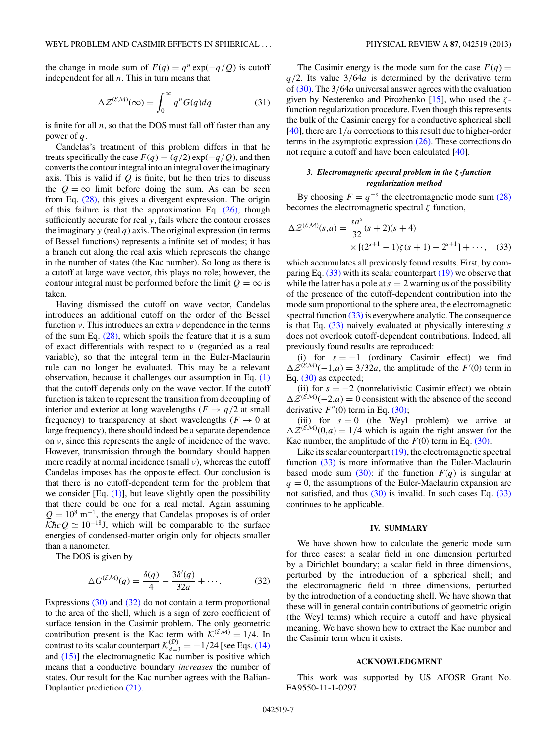the change in mode sum of  $F(q) = q^n \exp(-q/Q)$  is cutoff independent for all *n*. This in turn means that

$$
\Delta \mathcal{Z}^{(\mathcal{EM})}(\infty) = \int_0^\infty q^n G(q) dq \tag{31}
$$

is finite for all  $n$ , so that the DOS must fall off faster than any power of *q*.

Candelas's treatment of this problem differs in that he treats specifically the case  $F(q) = (q/2) \exp(-q/Q)$ , and then converts the contour integral into an integral over the imaginary axis. This is valid if *Q* is finite, but he then tries to discuss the  $Q = \infty$  limit before doing the sum. As can be seen from Eq. [\(28\),](#page-5-0) this gives a divergent expression. The origin of this failure is that the approximation Eq. [\(26\),](#page-5-0) though sufficiently accurate for real *y*, fails where the contour crosses the imaginary  $y$  (real  $q$ ) axis. The original expression (in terms of Bessel functions) represents a infinite set of modes; it has a branch cut along the real axis which represents the change in the number of states (the Kac number). So long as there is a cutoff at large wave vector, this plays no role; however, the contour integral must be performed before the limit  $Q = \infty$  is taken.

Having dismissed the cutoff on wave vector, Candelas introduces an additional cutoff on the order of the Bessel function *ν*. This introduces an extra *ν* dependence in the terms of the sum Eq.  $(28)$ , which spoils the feature that it is a sum of exact differentials with respect to *ν* (regarded as a real variable), so that the integral term in the Euler-Maclaurin rule can no longer be evaluated. This may be a relevant observation, because it challenges our assumption in Eq. [\(1\)](#page-0-0) that the cutoff depends only on the wave vector. If the cutoff function is taken to represent the transition from decoupling of interior and exterior at long wavelengths ( $F \rightarrow q/2$  at small frequency) to transparency at short wavelengths ( $F \rightarrow 0$  at large frequency), there should indeed be a separate dependence on *ν*, since this represents the angle of incidence of the wave. However, transmission through the boundary should happen more readily at normal incidence (small *ν*), whereas the cutoff Candelas imposes has the opposite effect. Our conclusion is that there is no cutoff-dependent term for the problem that we consider  $[Eq. (1)]$  $[Eq. (1)]$ , but leave slightly open the possibility that there could be one for a real metal. Again assuming  $Q = 10^8$  m<sup>-1</sup>, the energy that Candelas proposes is of order KhcQ  $\simeq 10^{-18}$ J, which will be comparable to the surface energies of condensed-matter origin only for objects smaller than a nanometer.

The DOS is given by

$$
\Delta G^{(\mathcal{EM})}(q) = \frac{\delta(q)}{4} - \frac{3\delta'(q)}{32a} + \cdots. \tag{32}
$$

Expressions [\(30\)](#page-5-0) and (32) do not contain a term proportional to the area of the shell, which is a sign of zero coefficient of surface tension in the Casimir problem. The only geometric contribution present is the Kac term with  $\mathcal{K}^{(\mathcal{EM})} = 1/4$ . In contrast to its scalar counterpart  $\mathcal{K}_{d=3}^{(\mathcal{D})} = -1/24$  [see Eqs. [\(14\)](#page-3-0) and  $(15)$ ] the electromagnetic Kac number is positive which means that a conductive boundary *increases* the number of states. Our result for the Kac number agrees with the Balian-Duplantier prediction [\(21\).](#page-5-0)

The Casimir energy is the mode sum for the case  $F(q) =$ *q/*2. Its value 3*/*64*a* is determined by the derivative term of [\(30\).](#page-5-0) The 3*/*64*a* universal answer agrees with the evaluation given by Nesterenko and Pirozhenko [\[15\]](#page-7-0), who used the *ζ* function regularization procedure. Even though this represents the bulk of the Casimir energy for a conductive spherical shell [\[40\]](#page-7-0), there are 1*/a* corrections to this result due to higher-order terms in the asymptotic expression  $(26)$ . These corrections do not require a cutoff and have been calculated [\[40\]](#page-7-0).

# *3. Electromagnetic spectral problem in the ζ -function regularization method*

By choosing  $F = q^{-s}$  the electromagnetic mode sum [\(28\)](#page-5-0) becomes the electromagnetic spectral *ζ* function,

$$
\Delta \mathcal{Z}^{(\mathcal{EM})}(s, a) = \frac{sa^s}{32}(s+2)(s+4) \times [(2^{s+1}-1)\zeta(s+1)-2^{s+1}] + \cdots,
$$
 (33)

which accumulates all previously found results. First, by comparing Eq.  $(33)$  with its scalar counterpart  $(19)$  we observe that while the latter has a pole at  $s = 2$  warning us of the possibility of the presence of the cutoff-dependent contribution into the mode sum proportional to the sphere area, the electromagnetic spectral function  $(33)$  is everywhere analytic. The consequence is that Eq. (33) naively evaluated at physically interesting *s* does not overlook cutoff-dependent contributions. Indeed, all previously found results are reproduced:

(i) for  $s = -1$  (ordinary Casimir effect) we find  $\Delta \mathcal{Z}^{(\mathcal{EM})}(-1,a) = 3/32a$ , the amplitude of the *F*<sup>'</sup>(0) term in Eq. [\(30\)](#page-5-0) as expected;

(ii) for  $s = -2$  (nonrelativistic Casimir effect) we obtain  $\Delta Z^{(\mathcal{EM})}(-2,a) = 0$  consistent with the absence of the second derivative  $F''(0)$  term in Eq. [\(30\);](#page-5-0)

(iii) for  $s = 0$  (the Weyl problem) we arrive at  $\Delta \mathcal{Z}^{(\mathcal{EM})}(0,a) = 1/4$  which is again the right answer for the Kac number, the amplitude of the  $F(0)$  term in Eq. [\(30\).](#page-5-0)

Like its scalar counterpart  $(19)$ , the electromagnetic spectral function (33) is more informative than the Euler-Maclaurin based mode sum  $(30)$ : if the function  $F(q)$  is singular at  $q = 0$ , the assumptions of the Euler-Maclaurin expansion are not satisfied, and thus [\(30\)](#page-5-0) is invalid. In such cases Eq. (33) continues to be applicable.

### **IV. SUMMARY**

We have shown how to calculate the generic mode sum for three cases: a scalar field in one dimension perturbed by a Dirichlet boundary; a scalar field in three dimensions, perturbed by the introduction of a spherical shell; and the electromagnetic field in three dimensions, perturbed by the introduction of a conducting shell. We have shown that these will in general contain contributions of geometric origin (the Weyl terms) which require a cutoff and have physical meaning. We have shown how to extract the Kac number and the Casimir term when it exists.

## **ACKNOWLEDGMENT**

This work was supported by US AFOSR Grant No. FA9550-11-1-0297.